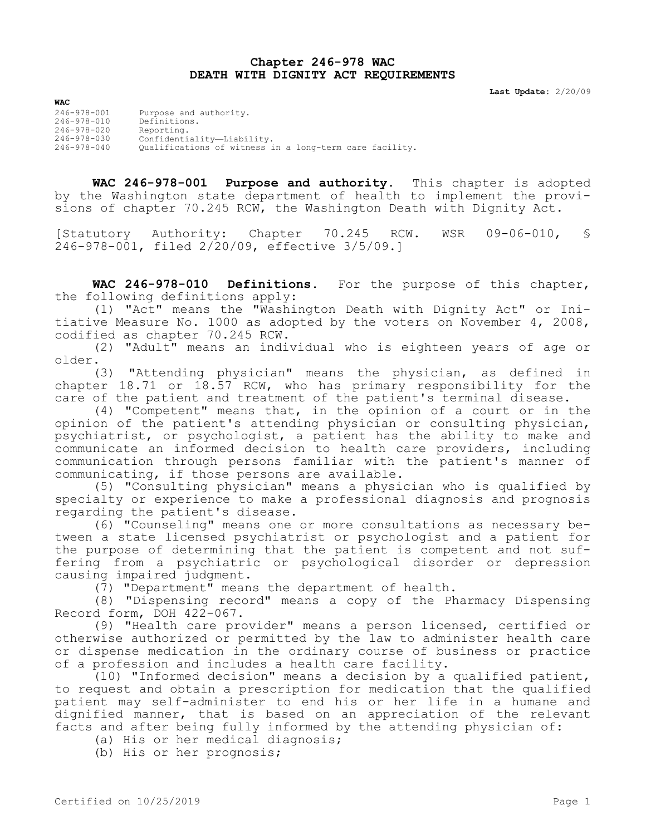## **Chapter 246-978 WAC DEATH WITH DIGNITY ACT REQUIREMENTS**

**Last Update:** 2/20/09

| <b>WAC</b>        |                                                         |
|-------------------|---------------------------------------------------------|
| 246-978-001       | Purpose and authority.                                  |
| 246-978-010       | Definitions.                                            |
| $246 - 978 - 020$ | Reporting.                                              |
| 246-978-030       | Confidentiality-Liability.                              |
| $246 - 978 - 040$ | Oualifications of witness in a long-term care facility. |

**WAC 246-978-001 Purpose and authority.** This chapter is adopted by the Washington state department of health to implement the provisions of chapter 70.245 RCW, the Washington Death with Dignity Act.

[Statutory Authority: Chapter 70.245 RCW. WSR 09-06-010, § 246-978-001, filed 2/20/09, effective 3/5/09.]

**WAC 246-978-010 Definitions.** For the purpose of this chapter, the following definitions apply:

(1) "Act" means the "Washington Death with Dignity Act" or Initiative Measure No. 1000 as adopted by the voters on November 4, 2008, codified as chapter 70.245 RCW.

(2) "Adult" means an individual who is eighteen years of age or older.

(3) "Attending physician" means the physician, as defined in chapter 18.71 or 18.57 RCW, who has primary responsibility for the care of the patient and treatment of the patient's terminal disease.

(4) "Competent" means that, in the opinion of a court or in the opinion of the patient's attending physician or consulting physician, psychiatrist, or psychologist, a patient has the ability to make and communicate an informed decision to health care providers, including communication through persons familiar with the patient's manner of communicating, if those persons are available.

(5) "Consulting physician" means a physician who is qualified by specialty or experience to make a professional diagnosis and prognosis regarding the patient's disease.

(6) "Counseling" means one or more consultations as necessary between a state licensed psychiatrist or psychologist and a patient for the purpose of determining that the patient is competent and not suffering from a psychiatric or psychological disorder or depression causing impaired judgment.

(7) "Department" means the department of health.

(8) "Dispensing record" means a copy of the Pharmacy Dispensing Record form, DOH 422-067.

(9) "Health care provider" means a person licensed, certified or otherwise authorized or permitted by the law to administer health care or dispense medication in the ordinary course of business or practice of a profession and includes a health care facility.

(10) "Informed decision" means a decision by a qualified patient, to request and obtain a prescription for medication that the qualified patient may self-administer to end his or her life in a humane and dignified manner, that is based on an appreciation of the relevant facts and after being fully informed by the attending physician of:

(a) His or her medical diagnosis;

(b) His or her prognosis;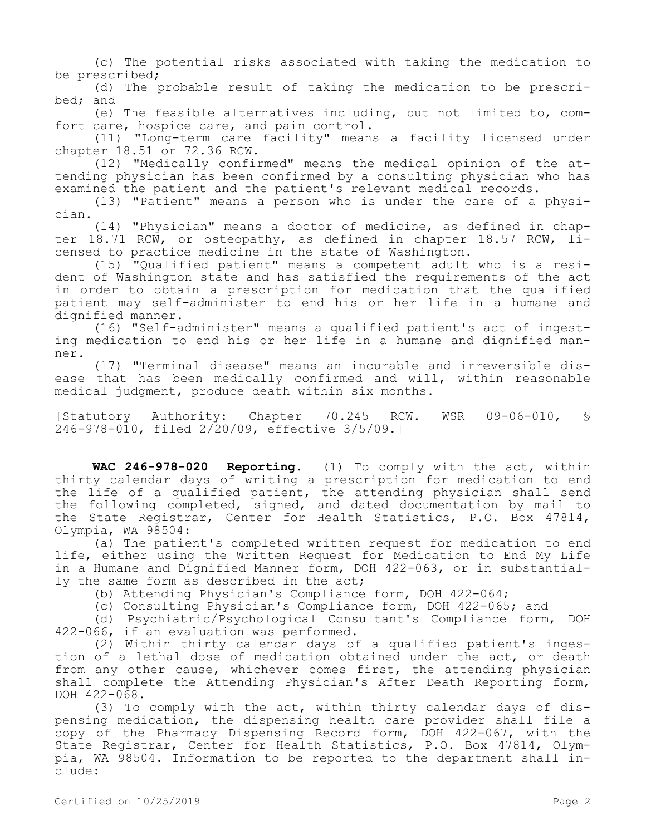(c) The potential risks associated with taking the medication to be prescribed;

(d) The probable result of taking the medication to be prescribed; and

(e) The feasible alternatives including, but not limited to, comfort care, hospice care, and pain control.

(11) "Long-term care facility" means a facility licensed under chapter 18.51 or 72.36 RCW.

(12) "Medically confirmed" means the medical opinion of the attending physician has been confirmed by a consulting physician who has examined the patient and the patient's relevant medical records.

(13) "Patient" means a person who is under the care of a physician.

(14) "Physician" means a doctor of medicine, as defined in chapter 18.71 RCW, or osteopathy, as defined in chapter 18.57 RCW, licensed to practice medicine in the state of Washington.

(15) "Qualified patient" means a competent adult who is a resident of Washington state and has satisfied the requirements of the act in order to obtain a prescription for medication that the qualified patient may self-administer to end his or her life in a humane and dignified manner.

(16) "Self-administer" means a qualified patient's act of ingesting medication to end his or her life in a humane and dignified manner.

(17) "Terminal disease" means an incurable and irreversible disease that has been medically confirmed and will, within reasonable medical judgment, produce death within six months.

[Statutory Authority: Chapter 70.245 RCW. WSR 09-06-010, § 246-978-010, filed 2/20/09, effective 3/5/09.]

**WAC 246-978-020 Reporting.** (1) To comply with the act, within thirty calendar days of writing a prescription for medication to end the life of a qualified patient, the attending physician shall send the following completed, signed, and dated documentation by mail to the State Registrar, Center for Health Statistics, P.O. Box 47814, Olympia, WA 98504:

(a) The patient's completed written request for medication to end life, either using the Written Request for Medication to End My Life in a Humane and Dignified Manner form, DOH 422-063, or in substantially the same form as described in the act;

(b) Attending Physician's Compliance form, DOH 422-064;

(c) Consulting Physician's Compliance form, DOH 422-065; and

(d) Psychiatric/Psychological Consultant's Compliance form, DOH 422-066, if an evaluation was performed.

(2) Within thirty calendar days of a qualified patient's ingestion of a lethal dose of medication obtained under the act, or death from any other cause, whichever comes first, the attending physician shall complete the Attending Physician's After Death Reporting form, DOH 422-068.

(3) To comply with the act, within thirty calendar days of dispensing medication, the dispensing health care provider shall file a copy of the Pharmacy Dispensing Record form, DOH 422-067, with the State Registrar, Center for Health Statistics, P.O. Box 47814, Olympia, WA 98504. Information to be reported to the department shall include: